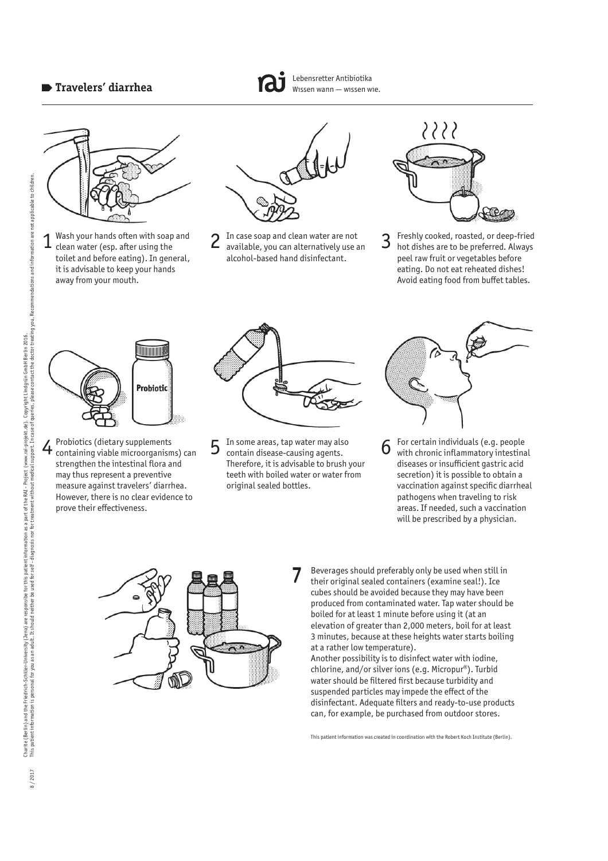

Wash your hands often with soap and clean water (esp. after using the toilet and before eating). In general, it is advisable to keep your hands away from your mouth.



Lebensretter Antibiotika Wissen wann — wissen wie.

In case soap and clean water are not  $1$  Wash your hands often with soap and  $2$  In case soap and clean water are not clean water (esp. after using the  $3$ alcohol-based hand disinfectant.



Freshly cooked, roasted, or deep-fried hot dishes are to be preferred. Always peel raw fruit or vegetables before eating. Do not eat reheated dishes! Avoid eating food from buffet tables.



Probiotics (dietary supplements strengthen the intestinal flora and may thus represent a preventive measure against travelers' diarrhea. However, there is no clear evidence to prove their effectiveness.



 $4$  Probiotics (dietary supplements  $5$  In some areas, tap water may also  $6$ In some areas, tap water may also contain disease-causing agents. Therefore, it is advisable to brush your teeth with boiled water or water from original sealed bottles.



For certain individuals (e.g. people with chronic inflammatory intestinal diseases or insufficient gastric acid secretion) it is possible to obtain a vaccination against specific diarrheal pathogens when traveling to risk areas. If needed, such a vaccination will be prescribed by a physician.



7 Beverages should preferably only be used when still in their original sealed containers (examine seal!). Ice cubes should be avoided because they may have been produced from contaminated water. Tap water should be boiled for at least 1 minute before using it (at an elevation of greater than 2,000 meters, boil for at least 3 minutes, because at these heights water starts boiling at a rather low temperature). 7

Another possibility is to disinfect water with iodine, chlorine, and/or silver ions (e.g. Micropur®). Turbid water should be filtered first because turbidity and suspended particles may impede the effect of the disinfectant. Adequate filters and ready-to-use products can, for example, be purchased from outdoor stores.

This patient information was created in coordination with the Robert Koch Institute (Berlin).